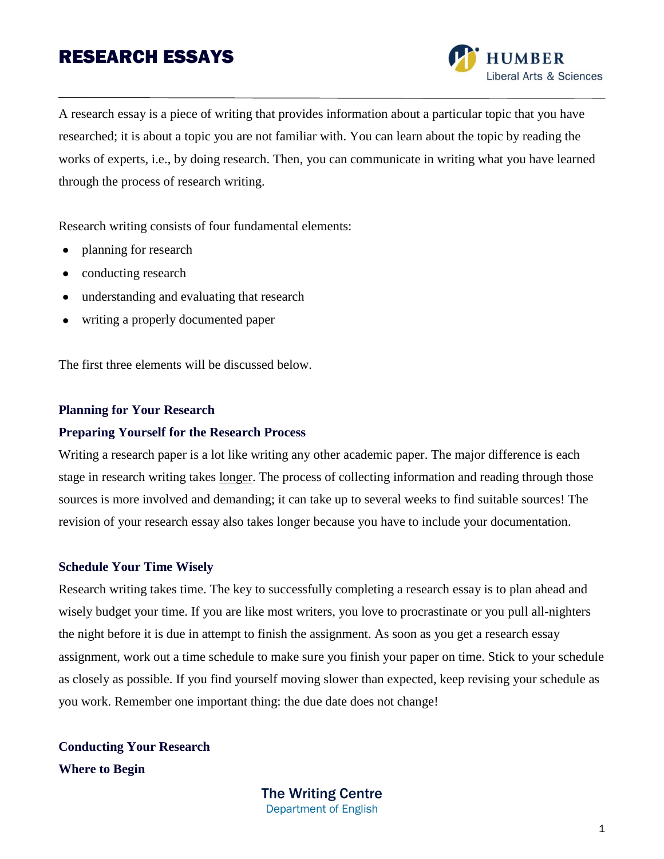

A research essay is a piece of writing that provides information about a particular topic that you have researched; it is about a topic you are not familiar with. You can learn about the topic by reading the works of experts, i.e., by doing research. Then, you can communicate in writing what you have learned through the process of research writing.

Research writing consists of four fundamental elements:

- planning for research  $\bullet$
- conducting research  $\bullet$
- understanding and evaluating that research  $\bullet$
- writing a properly documented paper

The first three elements will be discussed below.

#### **Planning for Your Research**

## **Preparing Yourself for the Research Process**

Writing a research paper is a lot like writing any other academic paper. The major difference is each stage in research writing takes longer. The process of collecting information and reading through those sources is more involved and demanding; it can take up to several weeks to find suitable sources! The revision of your research essay also takes longer because you have to include your documentation.

#### **Schedule Your Time Wisely**

Research writing takes time. The key to successfully completing a research essay is to plan ahead and wisely budget your time. If you are like most writers, you love to procrastinate or you pull all-nighters the night before it is due in attempt to finish the assignment. As soon as you get a research essay assignment, work out a time schedule to make sure you finish your paper on time. Stick to your schedule as closely as possible. If you find yourself moving slower than expected, keep revising your schedule as you work. Remember one important thing: the due date does not change!

**Conducting Your Research Where to Begin**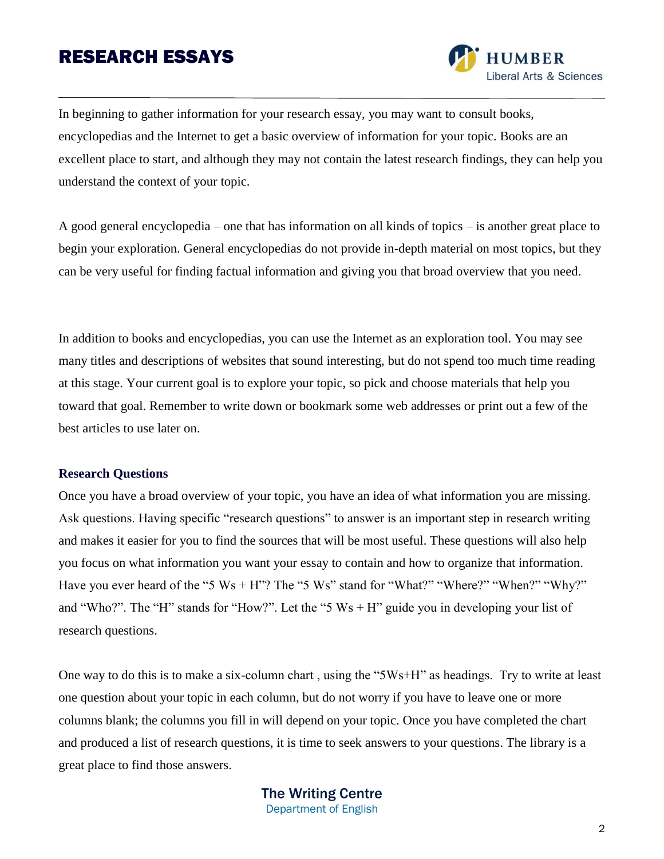

In beginning to gather information for your research essay, you may want to consult books, encyclopedias and the Internet to get a basic overview of information for your topic. Books are an excellent place to start, and although they may not contain the latest research findings, they can help you understand the context of your topic.

A good general encyclopedia – one that has information on all kinds of topics – is another great place to begin your exploration. General encyclopedias do not provide in-depth material on most topics, but they can be very useful for finding factual information and giving you that broad overview that you need.

In addition to books and encyclopedias, you can use the Internet as an exploration tool. You may see many titles and descriptions of websites that sound interesting, but do not spend too much time reading at this stage. Your current goal is to explore your topic, so pick and choose materials that help you toward that goal. Remember to write down or bookmark some web addresses or print out a few of the best articles to use later on.

### **Research Questions**

Once you have a broad overview of your topic, you have an idea of what information you are missing. Ask questions. Having specific "research questions" to answer is an important step in research writing and makes it easier for you to find the sources that will be most useful. These questions will also help you focus on what information you want your essay to contain and how to organize that information. Have you ever heard of the "5 Ws + H"? The "5 Ws" stand for "What?" "Where?" "When?" "Why?" and "Who?". The "H" stands for "How?". Let the "5  $Ws + H$ " guide you in developing your list of research questions.

One way to do this is to make a six-column chart , using the "5Ws+H" as headings. Try to write at least one question about your topic in each column, but do not worry if you have to leave one or more columns blank; the columns you fill in will depend on your topic. Once you have completed the chart and produced a list of research questions, it is time to seek answers to your questions. The library is a great place to find those answers.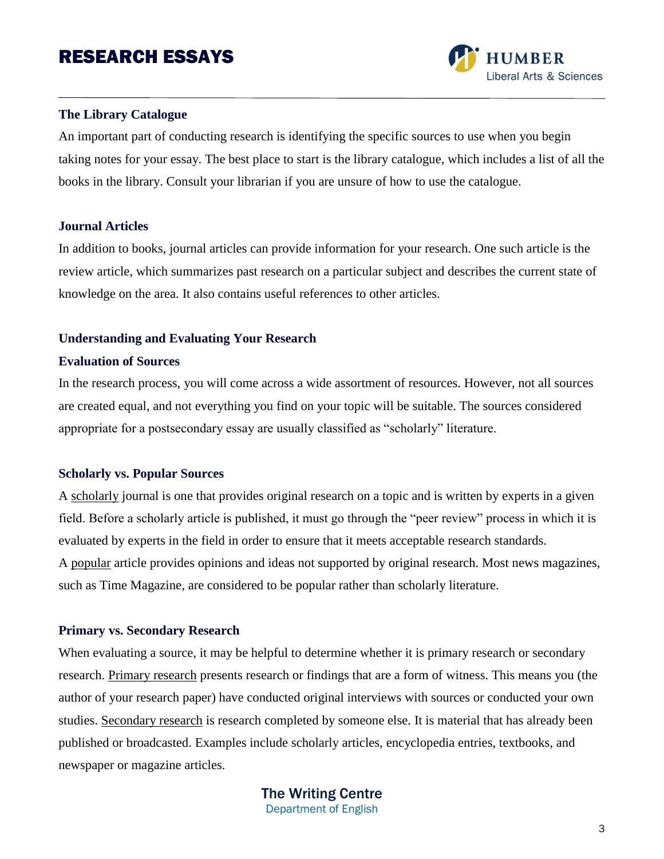

## **The Library Catalogue**

An important part of conducting research is identifying the specific sources to use when you begin taking notes for your essay. The best place to start is the library catalogue, which includes a list of all the books in the library. Consult your librarian if you are unsure of how to use the catalogue.

### **Journal Articles**

In addition to books, journal articles can provide information for your research. One such article is the review article, which summarizes past research on a particular subject and describes the current state of knowledge on the area. It also contains useful references to other articles.

### **Understanding and Evaluating Your Research**

### **Evaluation of Sources**

In the research process, you will come across a wide assortment of resources. However, not all sources are created equal, and not everything you find on your topic will be suitable. The sources considered appropriate for a postsecondary essay are usually classified as "scholarly" literature.

### **Scholarly vs. Popular Sources**

A scholarly journal is one that provides original research on a topic and is written by experts in a given field. Before a scholarly article is published, it must go through the "peer review" process in which it is evaluated by experts in the field in order to ensure that it meets acceptable research standards. A popular article provides opinions and ideas not supported by original research. Most news magazines, such as Time Magazine, are considered to be popular rather than scholarly literature.

#### **Primary vs. Secondary Research**

When evaluating a source, it may be helpful to determine whether it is primary research or secondary research. Primary research presents research or findings that are a form of witness. This means you (the author of your research paper) have conducted original interviews with sources or conducted your own studies. Secondary research is research completed by someone else. It is material that has already been published or broadcasted. Examples include scholarly articles, encyclopedia entries, textbooks, and newspaper or magazine articles.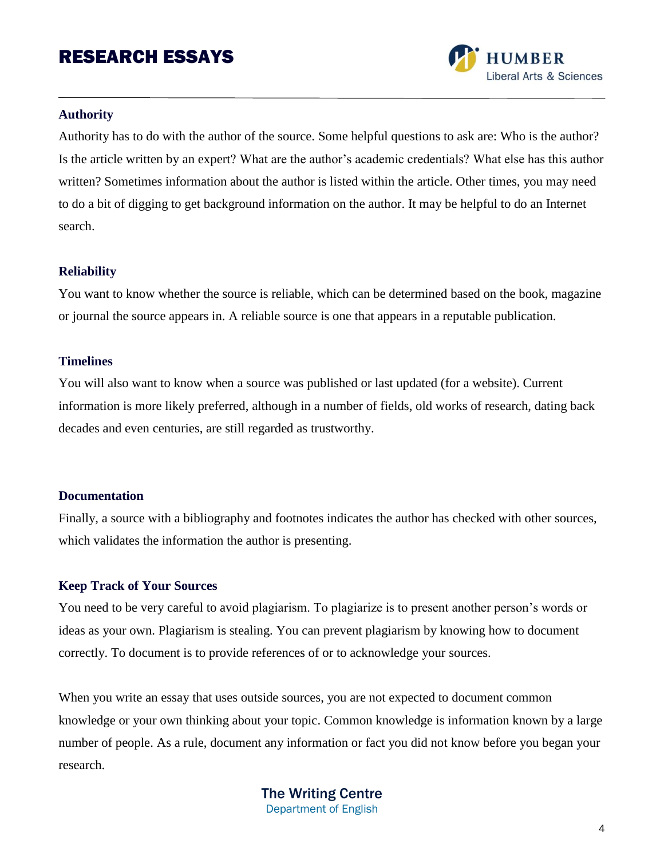

## **Authority**

Authority has to do with the author of the source. Some helpful questions to ask are: Who is the author? Is the article written by an expert? What are the author's academic credentials? What else has this author written? Sometimes information about the author is listed within the article. Other times, you may need to do a bit of digging to get background information on the author. It may be helpful to do an Internet search.

### **Reliability**

You want to know whether the source is reliable, which can be determined based on the book, magazine or journal the source appears in. A reliable source is one that appears in a reputable publication.

## **Timelines**

You will also want to know when a source was published or last updated (for a website). Current information is more likely preferred, although in a number of fields, old works of research, dating back decades and even centuries, are still regarded as trustworthy.

### **Documentation**

Finally, a source with a bibliography and footnotes indicates the author has checked with other sources, which validates the information the author is presenting.

## **Keep Track of Your Sources**

You need to be very careful to avoid plagiarism. To plagiarize is to present another person's words or ideas as your own. Plagiarism is stealing. You can prevent plagiarism by knowing how to document correctly. To document is to provide references of or to acknowledge your sources.

When you write an essay that uses outside sources, you are not expected to document common knowledge or your own thinking about your topic. Common knowledge is information known by a large number of people. As a rule, document any information or fact you did not know before you began your research.